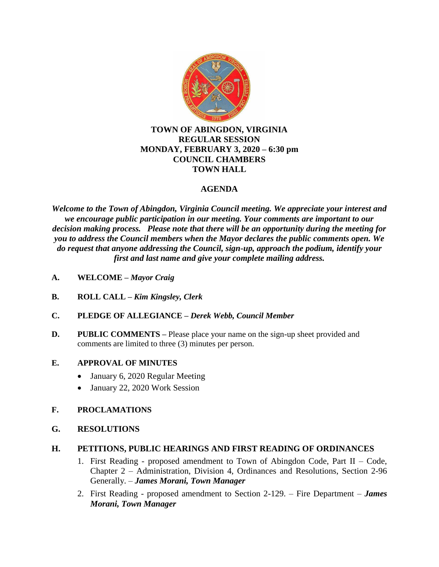

## **TOWN OF ABINGDON, VIRGINIA REGULAR SESSION MONDAY, FEBRUARY 3, 2020 – 6:30 pm COUNCIL CHAMBERS TOWN HALL**

# **AGENDA**

*Welcome to the Town of Abingdon, Virginia Council meeting. We appreciate your interest and we encourage public participation in our meeting. Your comments are important to our decision making process. Please note that there will be an opportunity during the meeting for you to address the Council members when the Mayor declares the public comments open. We do request that anyone addressing the Council, sign-up, approach the podium, identify your first and last name and give your complete mailing address.*

- **A. WELCOME –** *Mayor Craig*
- **B. ROLL CALL –** *Kim Kingsley, Clerk*
- **C. PLEDGE OF ALLEGIANCE –** *Derek Webb, Council Member*
- **D.** PUBLIC COMMENTS Please place your name on the sign-up sheet provided and comments are limited to three (3) minutes per person.

## **E. APPROVAL OF MINUTES**

- January 6, 2020 Regular Meeting
- January 22, 2020 Work Session

## **F. PROCLAMATIONS**

**G. RESOLUTIONS**

## **H. PETITIONS, PUBLIC HEARINGS AND FIRST READING OF ORDINANCES**

- 1. First Reading proposed amendment to Town of Abingdon Code, Part II Code, Chapter 2 – Administration, Division 4, Ordinances and Resolutions, Section 2-96 Generally. – *James Morani, Town Manager*
- 2. First Reading proposed amendment to Section 2-129. Fire Department *James Morani, Town Manager*